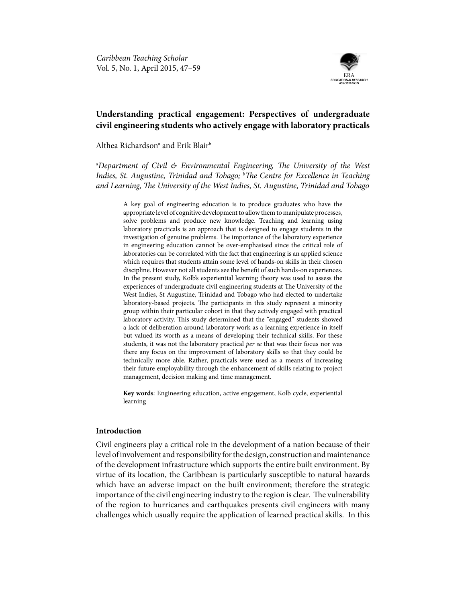

# **Understanding practical engagement: Perspectives of undergraduate civil engineering students who actively engage with laboratory practicals**

Althea Richardson $^{\rm a}$  and Erik Blair $^{\rm b}$ 

*a Department of Civil & Environmental Engineering, The University of the West*  Indies, St. Augustine, Trinidad and Tobago; <sup>b</sup>The Centre for Excellence in Teaching *and Learning, The University of the West Indies, St. Augustine, Trinidad and Tobago*

A key goal of engineering education is to produce graduates who have the appropriate level of cognitive development to allow them to manipulate processes, solve problems and produce new knowledge. Teaching and learning using laboratory practicals is an approach that is designed to engage students in the investigation of genuine problems. The importance of the laboratory experience in engineering education cannot be over-emphasised since the critical role of laboratories can be correlated with the fact that engineering is an applied science which requires that students attain some level of hands-on skills in their chosen discipline. However not all students see the benefit of such hands-on experiences. In the present study, Kolb's experiential learning theory was used to assess the experiences of undergraduate civil engineering students at The University of the West Indies, St Augustine, Trinidad and Tobago who had elected to undertake laboratory-based projects. The participants in this study represent a minority group within their particular cohort in that they actively engaged with practical laboratory activity. This study determined that the "engaged" students showed a lack of deliberation around laboratory work as a learning experience in itself but valued its worth as a means of developing their technical skills. For these students, it was not the laboratory practical *per se* that was their focus nor was there any focus on the improvement of laboratory skills so that they could be technically more able. Rather, practicals were used as a means of increasing their future employability through the enhancement of skills relating to project management, decision making and time management.

**Key words**: Engineering education, active engagement, Kolb cycle, experiential learning

## **Introduction**

Civil engineers play a critical role in the development of a nation because of their level of involvement and responsibility for the design, construction and maintenance of the development infrastructure which supports the entire built environment. By virtue of its location, the Caribbean is particularly susceptible to natural hazards which have an adverse impact on the built environment; therefore the strategic importance of the civil engineering industry to the region is clear. The vulnerability of the region to hurricanes and earthquakes presents civil engineers with many challenges which usually require the application of learned practical skills. In this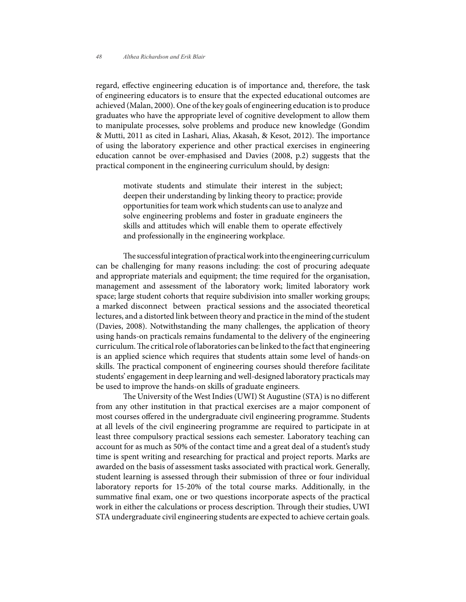regard, effective engineering education is of importance and, therefore, the task of engineering educators is to ensure that the expected educational outcomes are achieved (Malan, 2000). One of the key goals of engineering education is to produce graduates who have the appropriate level of cognitive development to allow them to manipulate processes, solve problems and produce new knowledge (Gondim & Mutti, 2011 as cited in Lashari, Alias, Akasah, & Kesot, 2012). The importance of using the laboratory experience and other practical exercises in engineering education cannot be over-emphasised and Davies (2008, p.2) suggests that the practical component in the engineering curriculum should, by design:

motivate students and stimulate their interest in the subject; deepen their understanding by linking theory to practice; provide opportunities for team work which students can use to analyze and solve engineering problems and foster in graduate engineers the skills and attitudes which will enable them to operate effectively and professionally in the engineering workplace.

The successful integration of practical work into the engineering curriculum can be challenging for many reasons including: the cost of procuring adequate and appropriate materials and equipment; the time required for the organisation, management and assessment of the laboratory work; limited laboratory work space; large student cohorts that require subdivision into smaller working groups; a marked disconnect between practical sessions and the associated theoretical lectures, and a distorted link between theory and practice in the mind of the student (Davies, 2008). Notwithstanding the many challenges, the application of theory using hands-on practicals remains fundamental to the delivery of the engineering curriculum. The critical role of laboratories can be linked to the fact that engineering is an applied science which requires that students attain some level of hands-on skills. The practical component of engineering courses should therefore facilitate students' engagement in deep learning and well-designed laboratory practicals may be used to improve the hands-on skills of graduate engineers.

The University of the West Indies (UWI) St Augustine (STA) is no different from any other institution in that practical exercises are a major component of most courses offered in the undergraduate civil engineering programme. Students at all levels of the civil engineering programme are required to participate in at least three compulsory practical sessions each semester. Laboratory teaching can account for as much as 50% of the contact time and a great deal of a student's study time is spent writing and researching for practical and project reports. Marks are awarded on the basis of assessment tasks associated with practical work. Generally, student learning is assessed through their submission of three or four individual laboratory reports for 15-20% of the total course marks. Additionally, in the summative final exam, one or two questions incorporate aspects of the practical work in either the calculations or process description. Through their studies, UWI STA undergraduate civil engineering students are expected to achieve certain goals.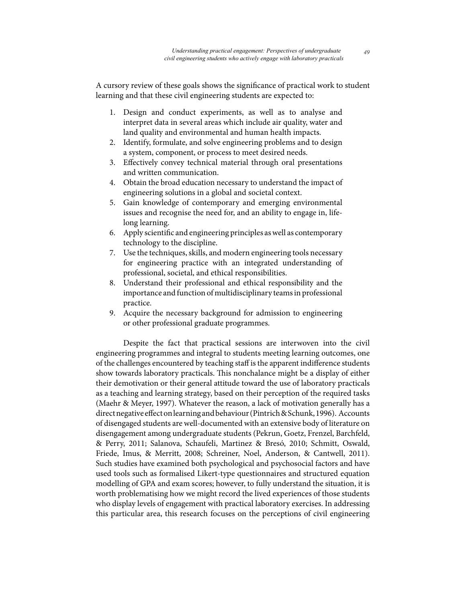A cursory review of these goals shows the significance of practical work to student learning and that these civil engineering students are expected to:

- 1. Design and conduct experiments, as well as to analyse and interpret data in several areas which include air quality, water and land quality and environmental and human health impacts.
- 2. Identify, formulate, and solve engineering problems and to design a system, component, or process to meet desired needs.
- 3. Effectively convey technical material through oral presentations and written communication.
- 4. Obtain the broad education necessary to understand the impact of engineering solutions in a global and societal context.
- 5. Gain knowledge of contemporary and emerging environmental issues and recognise the need for, and an ability to engage in, lifelong learning.
- 6. Apply scientific and engineering principles as well as contemporary technology to the discipline.
- 7. Use the techniques, skills, and modern engineering tools necessary for engineering practice with an integrated understanding of professional, societal, and ethical responsibilities.
- 8. Understand their professional and ethical responsibility and the importance and function of multidisciplinary teams in professional practice.
- 9. Acquire the necessary background for admission to engineering or other professional graduate programmes.

Despite the fact that practical sessions are interwoven into the civil engineering programmes and integral to students meeting learning outcomes, one of the challenges encountered by teaching staff is the apparent indifference students show towards laboratory practicals. This nonchalance might be a display of either their demotivation or their general attitude toward the use of laboratory practicals as a teaching and learning strategy, based on their perception of the required tasks (Maehr & Meyer, 1997). Whatever the reason, a lack of motivation generally has a direct negative effect on learning and behaviour (Pintrich & Schunk, 1996). Accounts of disengaged students are well-documented with an extensive body of literature on disengagement among undergraduate students (Pekrun, Goetz, Frenzel, Barchfeld, & Perry, 2011; Salanova, Schaufeli, Martinez & Bresó, 2010; Schmitt, Oswald, Friede, Imus, & Merritt, 2008; Schreiner, Noel, Anderson, & Cantwell, 2011). Such studies have examined both psychological and psychosocial factors and have used tools such as formalised Likert-type questionnaires and structured equation modelling of GPA and exam scores; however, to fully understand the situation, it is worth problematising how we might record the lived experiences of those students who display levels of engagement with practical laboratory exercises. In addressing this particular area, this research focuses on the perceptions of civil engineering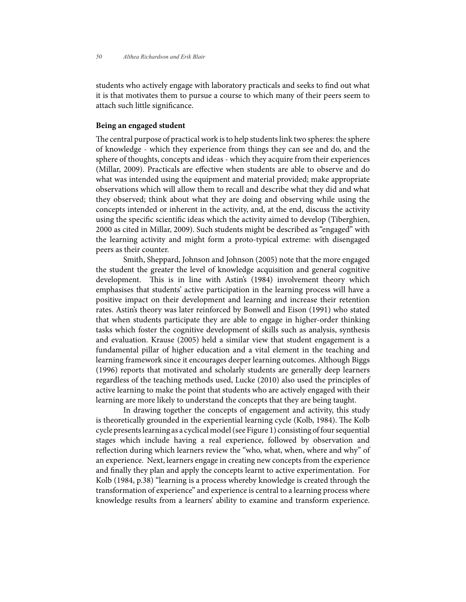students who actively engage with laboratory practicals and seeks to find out what it is that motivates them to pursue a course to which many of their peers seem to attach such little significance.

## **Being an engaged student**

The central purpose of practical work is to help students link two spheres: the sphere of knowledge - which they experience from things they can see and do, and the sphere of thoughts, concepts and ideas - which they acquire from their experiences (Millar, 2009). Practicals are effective when students are able to observe and do what was intended using the equipment and material provided; make appropriate observations which will allow them to recall and describe what they did and what they observed; think about what they are doing and observing while using the concepts intended or inherent in the activity, and, at the end, discuss the activity using the specific scientific ideas which the activity aimed to develop (Tiberghien, 2000 as cited in Millar, 2009). Such students might be described as "engaged" with the learning activity and might form a proto-typical extreme: with disengaged peers as their counter.

Smith, Sheppard, Johnson and Johnson (2005) note that the more engaged the student the greater the level of knowledge acquisition and general cognitive development. This is in line with Astin's (1984) involvement theory which emphasises that students' active participation in the learning process will have a positive impact on their development and learning and increase their retention rates. Astin's theory was later reinforced by Bonwell and Eison (1991) who stated that when students participate they are able to engage in higher-order thinking tasks which foster the cognitive development of skills such as analysis, synthesis and evaluation. Krause (2005) held a similar view that student engagement is a fundamental pillar of higher education and a vital element in the teaching and learning framework since it encourages deeper learning outcomes. Although Biggs (1996) reports that motivated and scholarly students are generally deep learners regardless of the teaching methods used, Lucke (2010) also used the principles of active learning to make the point that students who are actively engaged with their learning are more likely to understand the concepts that they are being taught.

In drawing together the concepts of engagement and activity, this study is theoretically grounded in the experiential learning cycle (Kolb, 1984). The Kolb cycle presents learning as a cyclical model (see Figure 1) consisting of four sequential stages which include having a real experience, followed by observation and reflection during which learners review the "who, what, when, where and why" of an experience. Next, learners engage in creating new concepts from the experience and finally they plan and apply the concepts learnt to active experimentation. For Kolb (1984, p.38) "learning is a process whereby knowledge is created through the transformation of experience" and experience is central to a learning process where knowledge results from a learners' ability to examine and transform experience.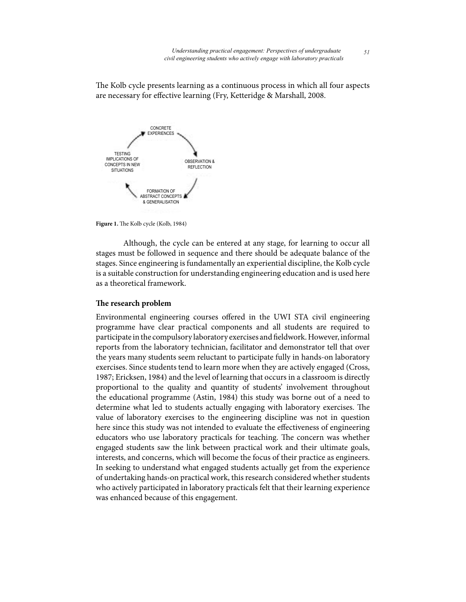The Kolb cycle presents learning as a continuous process in which all four aspects are necessary for effective learning (Fry, Ketteridge & Marshall, 2008.



**Figure 1.** The Kolb cycle (Kolb, 1984)

Although, the cycle can be entered at any stage, for learning to occur all stages must be followed in sequence and there should be adequate balance of the stages. Since engineering is fundamentally an experiential discipline, the Kolb cycle is a suitable construction for understanding engineering education and is used here as a theoretical framework.

## **The research problem**

Environmental engineering courses offered in the UWI STA civil engineering programme have clear practical components and all students are required to participate in the compulsory laboratory exercises and fieldwork. However, informal reports from the laboratory technician, facilitator and demonstrator tell that over the years many students seem reluctant to participate fully in hands-on laboratory exercises. Since students tend to learn more when they are actively engaged (Cross, 1987; Ericksen, 1984) and the level of learning that occurs in a classroom is directly proportional to the quality and quantity of students' involvement throughout the educational programme (Astin, 1984) this study was borne out of a need to determine what led to students actually engaging with laboratory exercises. The value of laboratory exercises to the engineering discipline was not in question here since this study was not intended to evaluate the effectiveness of engineering educators who use laboratory practicals for teaching. The concern was whether engaged students saw the link between practical work and their ultimate goals, interests, and concerns, which will become the focus of their practice as engineers. In seeking to understand what engaged students actually get from the experience of undertaking hands-on practical work, this research considered whether students who actively participated in laboratory practicals felt that their learning experience was enhanced because of this engagement.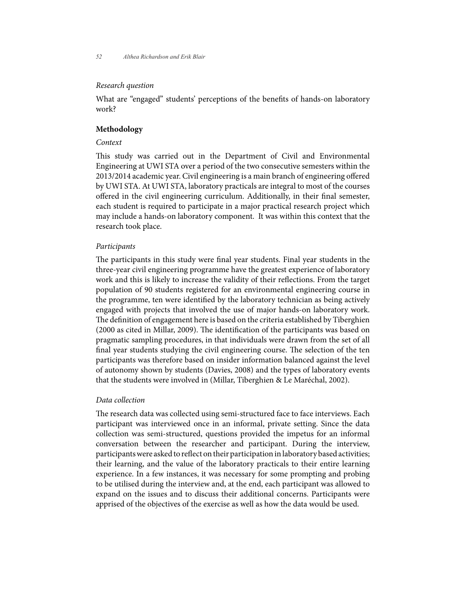*52 Althea Richardson and Erik Blair*

#### *Research question*

What are "engaged" students' perceptions of the benefits of hands-on laboratory work?

## **Methodology**

#### *Context*

This study was carried out in the Department of Civil and Environmental Engineering at UWI STA over a period of the two consecutive semesters within the 2013/2014 academic year. Civil engineering is a main branch of engineering offered by UWI STA. At UWI STA, laboratory practicals are integral to most of the courses offered in the civil engineering curriculum. Additionally, in their final semester, each student is required to participate in a major practical research project which may include a hands-on laboratory component. It was within this context that the research took place.

#### *Participants*

The participants in this study were final year students. Final year students in the three-year civil engineering programme have the greatest experience of laboratory work and this is likely to increase the validity of their reflections. From the target population of 90 students registered for an environmental engineering course in the programme, ten were identified by the laboratory technician as being actively engaged with projects that involved the use of major hands-on laboratory work. The definition of engagement here is based on the criteria established by Tiberghien (2000 as cited in Millar, 2009). The identification of the participants was based on pragmatic sampling procedures, in that individuals were drawn from the set of all final year students studying the civil engineering course. The selection of the ten participants was therefore based on insider information balanced against the level of autonomy shown by students (Davies, 2008) and the types of laboratory events that the students were involved in (Millar, Tiberghien & Le Maréchal, 2002).

#### *Data collection*

The research data was collected using semi-structured face to face interviews. Each participant was interviewed once in an informal, private setting. Since the data collection was semi-structured, questions provided the impetus for an informal conversation between the researcher and participant. During the interview, participants were asked to reflect on their participation in laboratory based activities; their learning, and the value of the laboratory practicals to their entire learning experience. In a few instances, it was necessary for some prompting and probing to be utilised during the interview and, at the end, each participant was allowed to expand on the issues and to discuss their additional concerns. Participants were apprised of the objectives of the exercise as well as how the data would be used.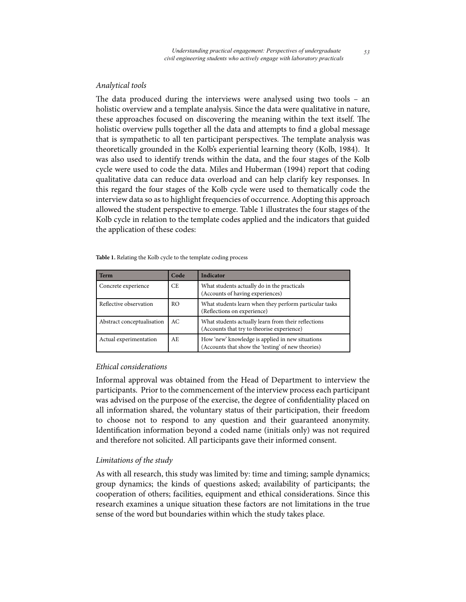## *Analytical tools*

The data produced during the interviews were analysed using two tools – an holistic overview and a template analysis. Since the data were qualitative in nature, these approaches focused on discovering the meaning within the text itself. The holistic overview pulls together all the data and attempts to find a global message that is sympathetic to all ten participant perspectives. The template analysis was theoretically grounded in the Kolb's experiential learning theory (Kolb, 1984). It was also used to identify trends within the data, and the four stages of the Kolb cycle were used to code the data. Miles and Huberman (1994) report that coding qualitative data can reduce data overload and can help clarify key responses. In this regard the four stages of the Kolb cycle were used to thematically code the interview data so as to highlight frequencies of occurrence. Adopting this approach allowed the student perspective to emerge. Table 1 illustrates the four stages of the Kolb cycle in relation to the template codes applied and the indicators that guided the application of these codes:

|  |  | Table 1. Relating the Kolb cycle to the template coding process |  |
|--|--|-----------------------------------------------------------------|--|
|  |  |                                                                 |  |

| <b>Term</b>                | Code | <b>Indicator</b>                                                                                       |
|----------------------------|------|--------------------------------------------------------------------------------------------------------|
| Concrete experience        | CE.  | What students actually do in the practicals<br>(Accounts of having experiences)                        |
| Reflective observation     | RO.  | What students learn when they perform particular tasks<br>(Reflections on experience)                  |
| Abstract conceptualisation | AC.  | What students actually learn from their reflections<br>(Accounts that try to theorise experience)      |
| Actual experimentation     | AE.  | How 'new' knowledge is applied in new situations<br>(Accounts that show the 'testing' of new theories) |

## *Ethical considerations*

Informal approval was obtained from the Head of Department to interview the participants. Prior to the commencement of the interview process each participant was advised on the purpose of the exercise, the degree of confidentiality placed on all information shared, the voluntary status of their participation, their freedom to choose not to respond to any question and their guaranteed anonymity. Identification information beyond a coded name (initials only) was not required and therefore not solicited. All participants gave their informed consent.

## *Limitations of the study*

As with all research, this study was limited by: time and timing; sample dynamics; group dynamics; the kinds of questions asked; availability of participants; the cooperation of others; facilities, equipment and ethical considerations. Since this research examines a unique situation these factors are not limitations in the true sense of the word but boundaries within which the study takes place.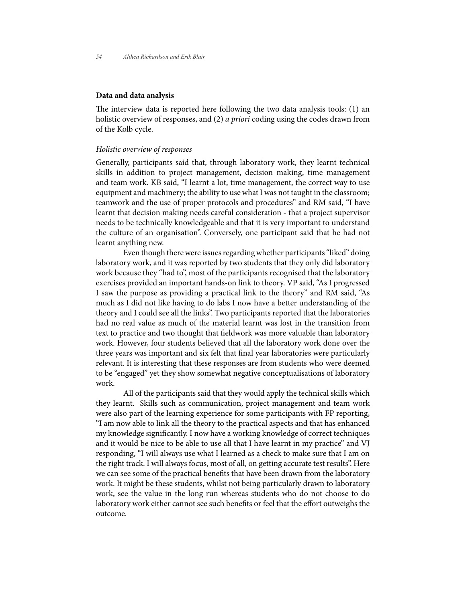#### **Data and data analysis**

The interview data is reported here following the two data analysis tools: (1) an holistic overview of responses, and (2) *a priori* coding using the codes drawn from of the Kolb cycle.

#### *Holistic overview of responses*

Generally, participants said that, through laboratory work, they learnt technical skills in addition to project management, decision making, time management and team work. KB said, "I learnt a lot, time management, the correct way to use equipment and machinery; the ability to use what I was not taught in the classroom; teamwork and the use of proper protocols and procedures" and RM said, "I have learnt that decision making needs careful consideration - that a project supervisor needs to be technically knowledgeable and that it is very important to understand the culture of an organisation". Conversely, one participant said that he had not learnt anything new.

Even though there were issues regarding whether participants "liked" doing laboratory work, and it was reported by two students that they only did laboratory work because they "had to", most of the participants recognised that the laboratory exercises provided an important hands-on link to theory. VP said, "As I progressed I saw the purpose as providing a practical link to the theory" and RM said, "As much as I did not like having to do labs I now have a better understanding of the theory and I could see all the links". Two participants reported that the laboratories had no real value as much of the material learnt was lost in the transition from text to practice and two thought that fieldwork was more valuable than laboratory work. However, four students believed that all the laboratory work done over the three years was important and six felt that final year laboratories were particularly relevant. It is interesting that these responses are from students who were deemed to be "engaged" yet they show somewhat negative conceptualisations of laboratory work.

All of the participants said that they would apply the technical skills which they learnt. Skills such as communication, project management and team work were also part of the learning experience for some participants with FP reporting, "I am now able to link all the theory to the practical aspects and that has enhanced my knowledge significantly. I now have a working knowledge of correct techniques and it would be nice to be able to use all that I have learnt in my practice" and VJ responding, "I will always use what I learned as a check to make sure that I am on the right track. I will always focus, most of all, on getting accurate test results". Here we can see some of the practical benefits that have been drawn from the laboratory work. It might be these students, whilst not being particularly drawn to laboratory work, see the value in the long run whereas students who do not choose to do laboratory work either cannot see such benefits or feel that the effort outweighs the outcome.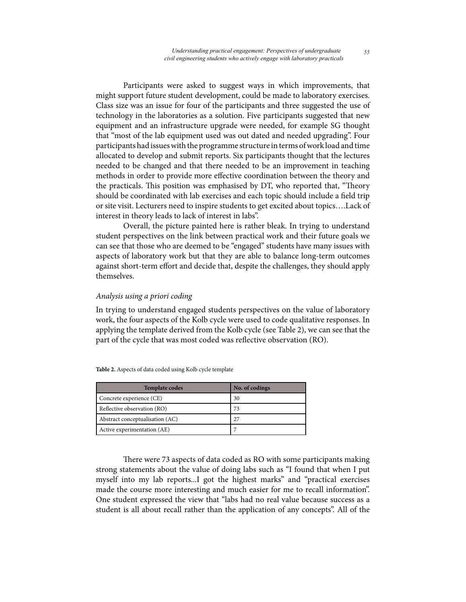Participants were asked to suggest ways in which improvements, that might support future student development, could be made to laboratory exercises. Class size was an issue for four of the participants and three suggested the use of technology in the laboratories as a solution. Five participants suggested that new equipment and an infrastructure upgrade were needed, for example SG thought that "most of the lab equipment used was out dated and needed upgrading". Four participants had issues with the programme structure in terms of work load and time allocated to develop and submit reports. Six participants thought that the lectures needed to be changed and that there needed to be an improvement in teaching methods in order to provide more effective coordination between the theory and the practicals. This position was emphasised by DT, who reported that, "Theory should be coordinated with lab exercises and each topic should include a field trip or site visit. Lecturers need to inspire students to get excited about topics….Lack of interest in theory leads to lack of interest in labs".

Overall, the picture painted here is rather bleak. In trying to understand student perspectives on the link between practical work and their future goals we can see that those who are deemed to be "engaged" students have many issues with aspects of laboratory work but that they are able to balance long-term outcomes against short-term effort and decide that, despite the challenges, they should apply themselves.

## *Analysis using a priori coding*

In trying to understand engaged students perspectives on the value of laboratory work, the four aspects of the Kolb cycle were used to code qualitative responses. In applying the template derived from the Kolb cycle (see Table 2), we can see that the part of the cycle that was most coded was reflective observation (RO).

| <b>Template codes</b>           | No. of codings |
|---------------------------------|----------------|
| Concrete experience (CE)        | 30             |
| Reflective observation (RO)     | 73             |
| Abstract conceptualisation (AC) | 27             |
| Active experimentation (AE)     |                |

**Table 2.** Aspects of data coded using Kolb cycle template

There were 73 aspects of data coded as RO with some participants making strong statements about the value of doing labs such as "I found that when I put myself into my lab reports...I got the highest marks" and "practical exercises made the course more interesting and much easier for me to recall information". One student expressed the view that "labs had no real value because success as a student is all about recall rather than the application of any concepts". All of the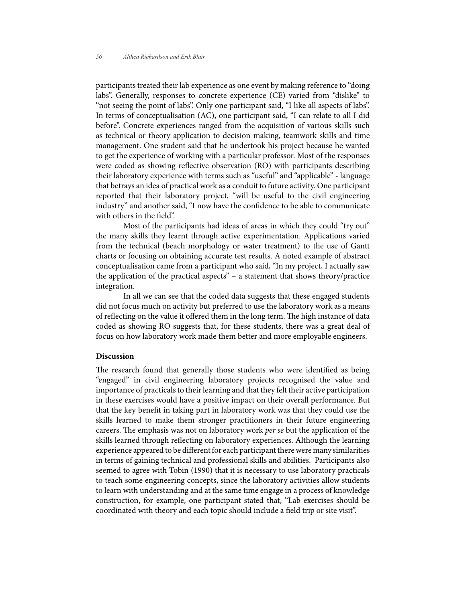participants treated their lab experience as one event by making reference to "doing labs". Generally, responses to concrete experience (CE) varied from "dislike" to "not seeing the point of labs". Only one participant said, "I like all aspects of labs". In terms of conceptualisation (AC), one participant said, "I can relate to all I did before". Concrete experiences ranged from the acquisition of various skills such as technical or theory application to decision making, teamwork skills and time management. One student said that he undertook his project because he wanted to get the experience of working with a particular professor. Most of the responses were coded as showing reflective observation (RO) with participants describing their laboratory experience with terms such as "useful" and "applicable" - language that betrays an idea of practical work as a conduit to future activity. One participant reported that their laboratory project, "will be useful to the civil engineering industry" and another said, "I now have the confidence to be able to communicate with others in the field".

Most of the participants had ideas of areas in which they could "try out" the many skills they learnt through active experimentation. Applications varied from the technical (beach morphology or water treatment) to the use of Gantt charts or focusing on obtaining accurate test results. A noted example of abstract conceptualisation came from a participant who said, "In my project, I actually saw the application of the practical aspects" – a statement that shows theory/practice integration.

In all we can see that the coded data suggests that these engaged students did not focus much on activity but preferred to use the laboratory work as a means of reflecting on the value it offered them in the long term. The high instance of data coded as showing RO suggests that, for these students, there was a great deal of focus on how laboratory work made them better and more employable engineers.

#### **Discussion**

The research found that generally those students who were identified as being "engaged" in civil engineering laboratory projects recognised the value and importance of practicals to their learning and that they felt their active participation in these exercises would have a positive impact on their overall performance. But that the key benefit in taking part in laboratory work was that they could use the skills learned to make them stronger practitioners in their future engineering careers. The emphasis was not on laboratory work *per se* but the application of the skills learned through reflecting on laboratory experiences. Although the learning experience appeared to be different for each participant there were many similarities in terms of gaining technical and professional skills and abilities. Participants also seemed to agree with Tobin (1990) that it is necessary to use laboratory practicals to teach some engineering concepts, since the laboratory activities allow students to learn with understanding and at the same time engage in a process of knowledge construction, for example, one participant stated that, "Lab exercises should be coordinated with theory and each topic should include a field trip or site visit".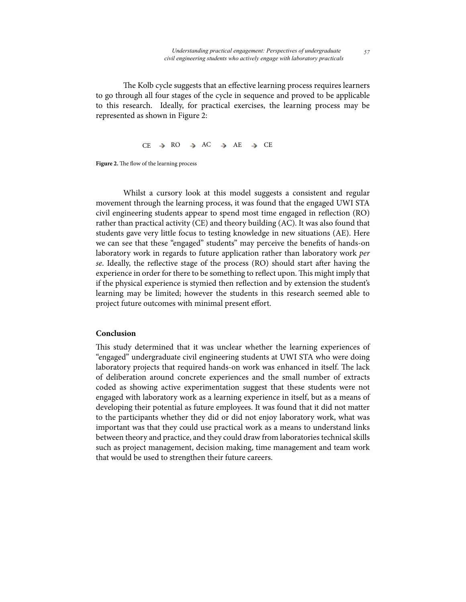The Kolb cycle suggests that an effective learning process requires learners to go through all four stages of the cycle in sequence and proved to be applicable to this research. Ideally, for practical exercises, the learning process may be represented as shown in Figure 2:

 $CE \rightarrow RO \rightarrow AC \rightarrow AE \rightarrow CE$ 

**Figure 2.** The flow of the learning process

Whilst a cursory look at this model suggests a consistent and regular movement through the learning process, it was found that the engaged UWI STA civil engineering students appear to spend most time engaged in reflection (RO) rather than practical activity (CE) and theory building (AC). It was also found that students gave very little focus to testing knowledge in new situations (AE). Here we can see that these "engaged" students" may perceive the benefits of hands-on laboratory work in regards to future application rather than laboratory work *per se*. Ideally, the reflective stage of the process (RO) should start after having the experience in order for there to be something to reflect upon. This might imply that if the physical experience is stymied then reflection and by extension the student's learning may be limited; however the students in this research seemed able to project future outcomes with minimal present effort.

#### **Conclusion**

This study determined that it was unclear whether the learning experiences of "engaged" undergraduate civil engineering students at UWI STA who were doing laboratory projects that required hands-on work was enhanced in itself. The lack of deliberation around concrete experiences and the small number of extracts coded as showing active experimentation suggest that these students were not engaged with laboratory work as a learning experience in itself, but as a means of developing their potential as future employees. It was found that it did not matter to the participants whether they did or did not enjoy laboratory work, what was important was that they could use practical work as a means to understand links between theory and practice, and they could draw from laboratories technical skills such as project management, decision making, time management and team work that would be used to strengthen their future careers.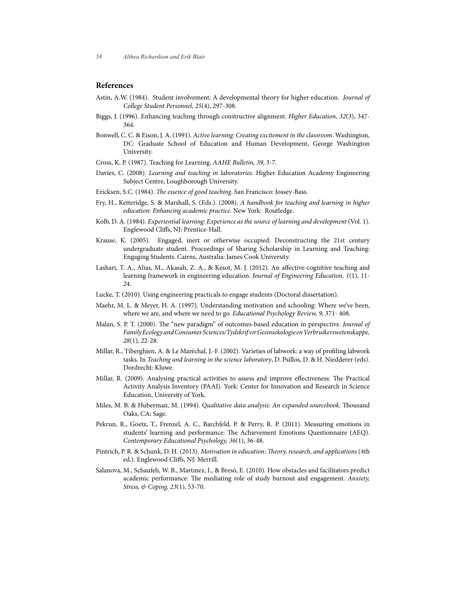#### **References**

- Astin, A.W. (1984). Student involvement: A developmental theory for higher education. *Journal of College Student Personnel, 25*(4), 297-308.
- Biggs, J. (1996). Enhancing teaching through constructive alignment. *Higher Education, 32*(3), 347- 364.
- Bonwell, C. C. & Eison, J. A. (1991). *Active learning: Creating excitement in the classroom*. Washington, DC: Graduate School of Education and Human Development, George Washington University.
- Cross, K. P. (1987). Teaching for Learning. *AAHE Bulletin, 39*, 3-7.
- Davies, C. (2008). *Learning and teaching in laboratories*. Higher Education Academy Engineering Subject Centre, Loughborough University.
- Ericksen, S.C. (1984). *The essence of good teaching*. San Francisco: Jossey-Bass.
- Fry, H., Ketteridge, S. & Marshall, S. (Eds.). (2008). *A handbook for teaching and learning in higher education: Enhancing academic practice.* New York: Routledge.
- Kolb, D. A. (1984). *Experiential learning: Experience as the source of learning and development* (Vol. 1). Englewood Cliffs, NJ: Prentice-Hall.
- Krause, K. (2005). Engaged, inert or otherwise occupied: Deconstructing the 21st century undergraduate student. Proceedings of Sharing Scholarship in Learning and Teaching: Engaging Students. Cairns, Australia: James Cook University.
- Lashari, T. A., Alias, M., Akasah, Z. A., & Kesot, M. J. (2012). An affective-cognitive teaching and learning framework in engineering education. *Journal of Engineering Education, 1*(1), 11- 24.
- Lucke, T. (2010). Using engineering practicals to engage students (Doctoral dissertation).
- Maehr, M. L. & Meyer, H. A. (1997). Understanding motivation and schooling: Where we've been, where we are, and where we need to go. *Educational Psychology Review, 9*, 371- 408.
- Malan, S. P. T. (2000). The "new paradigm" of outcomes-based education in perspective. *Journal of Family Ecology and Consumer Sciences/Tydskrif vir Gesinsekologie en Verbruikerswetenskappe, 28*(1), 22-28.
- Millar, R., Tiberghien, A. & Le Maréchal, J.-F. (2002). Varieties of labwork: a way of profiling labwork tasks. In *Teaching and learning in the science laboratory*, D. Psillos, D. & H. Niedderer (eds). Dordrecht: Kluwe.
- Millar, R. (2009). Analysing practical activities to assess and improve effectiveness: The Practical Activity Analysis Inventory (PAAI). York: Center for Innovation and Research in Science Education, University of York.
- Miles, M. B. & Huberman, M. (1994). *Qualitative data analysis: An expanded sourcebook*. Thousand Oaks, CA: Sage.
- Pekrun, R., Goetz, T., Frenzel, A. C., Barchfeld, P. & Perry, R. P. (2011). Measuring emotions in students' learning and performance: The Achievement Emotions Questionnaire (AEQ). *Contemporary Educational Psychology, 36*(1), 36-48.
- Pintrich, P. R. & Schunk, D. H. (2013). *Motivation in education: Theory, research, and applications* (4th ed.). Englewood Cliffs, NJ: Merrill.
- Salanova, M., Schaufeli, W. B., Martınez, I., & Bresó, E. (2010). How obstacles and facilitators predict academic performance: The mediating role of study burnout and engagement. *Anxiety, Stress, & Coping, 23*(1), 53-70.